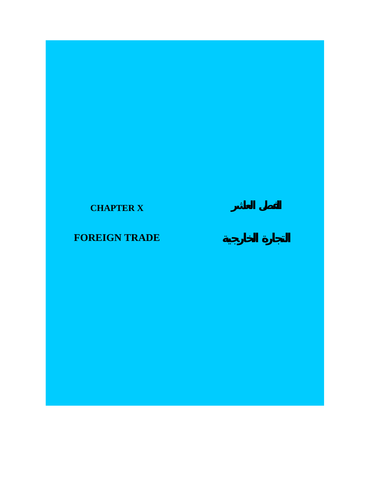# **CHAPTER X**

# **FOREIGN TRADE**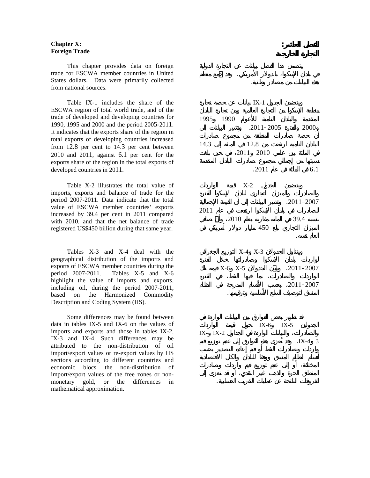## **Chapter X: Foreign Trade**

 This chapter provides data on foreign trade for ESCWA member countries in United States dollars. Data were primarily collected from national sources.

 Table IX-1 includes the share of the ESCWA region of total world trade, and of the trade of developed and developing countries for 1990, 1995 and 2000 and the period 2005-2011. It indicates that the exports share of the region in total exports of developing countries increased from 12.8 per cent to 14.3 per cent between 2010 and 2011, against 6.1 per cent for the exports share of the region in the total exports of developed countries in 2011.

 Table X-2 illustrates the total value of imports, exports and balance of trade for the period 2007-2011. Data indicate that the total value of ESCWA member countries' exports increased by 39.4 per cent in 2011 compared with 2010, and that the net balance of trade registered US\$450 billion during that same year.

 Tables X-3 and X-4 deal with the geographical distribution of the imports and exports of ESCWA member countries during the period 2007-2011. Tables X-5 and X-6 highlight the value of imports and exports, including oil, during the period 2007-2011, based on the Harmonized Commodity Description and Coding System (HS).

 Some differences may be found between data in tables IX-5 and IX-6 on the values of imports and exports and those in tables IX-2, IX-3 and IX-4. Such differences may be attributed to the non-distribution of oil import/export values or re-export values by HS sections according to different countries and economic blocs the non-distribution of import/export values of the free zones or nonmonetary gold, or the differences in mathematical approximation.

ويتضمن الجدول -1IX بيانات عن حصة تجارة

في بلدان الإسكوا بالدولار الأمريكي. وقد جمع معظم

**الفصل العاشر:** 

هذه البيانات من مصادر وطنية.

المتقدمة والبلدان النامية للأعوام 1990 1995  $.2011 - 2005$  2000 البلدان النامية ارتفعت من 12.8 المائة إلى 14,3 في المائة بين عامي 2010 2011 في حين بلغت 6.1 في المائة في عام .2011 ويتضمن الجدول -2X قيمة الواردات 2007–.2011 وتشير البيانات إلى أن القيمة الإجمالية  $2011$ بنسبة 39.4 في المائة مقارنة بعام 2010 وأن صافي  $450$ العام نفسه.  $X-4$   $X-3$  $X-6$   $X-5$   $.2011-2007$ 2011-2007 المنسق لتوصيف السلع الأساسية وترقيمها.  $IX-6$  IX  $-5$  $IX - IX - 2$ 

الفروقات الناتجة عن عمليات التقريب الحسابية.

 $IX-4$  3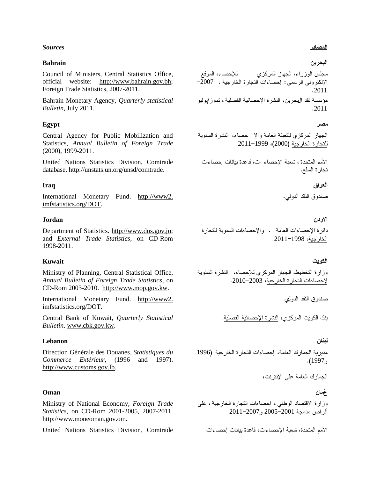## *Sources*

## **Bahrain**

Council of Ministers, Central Statistics Office, official website: [http://www.bahrain.gov.bh;](http://www.bahrain.gov.bh/) Foreign Trade Statistics, 2007-2011.

Bahrain Monetary Agency, *Quarterly statistical Bulletin*, July 2011.

# **Egypt**

Central Agency for Public Mobilization and Statistics, *Annual Bulletin of Foreign Trade* (2000), 1999-2011.

United Nations Statistics Division, Comtrade database. http://unstats.un.org/unsd/comtrade.

## **Iraq**

International Monetary Fund. http://www2. imfstatistics.org/DOT.

## **Jordan**

Department of Statistics. [http://www.dos.gov.jo;](http://www.dos.gov.jo/) and *External Trade Statistics*, on CD-Rom 1998-2011.

#### **Kuwait**

Ministry of Planning, Central Statistical Office, *Annual Bulletin of Foreign Trade Statistics*, on CD-Rom 2003-2010. http://www.mop.gov.kw.

International Monetary Fund. http://www2. imfstatistics.org/DOT.

Central Bank of Kuwait, *Quarterly Statistical Bulletin*. [www.cbk.gov.kw.](http://www.cbk.gov.kw/)

#### **Lebanon**

Direction Générale des Douanes, *Statistiques du Commerce Extérieur*, (1996 and 1997). http://www.customs.gov.lb.

## **Oman**

Ministry of National Economy, *Foreign Trade Statistics*, on CD-Rom 2001-2005, 2007-2011. http://www.moneoman.gov.om.

United Nations Statistics Division, Comtrade

## <u>المصادر</u>

# البحرين

مجلس الوزراء، الجهاز المركزي<br>الإلكتروني الرسمي: إحصاءات النجارة الخارجية ، 2007– 2011 مؤسسة نقد البحر بن، النشر ة الإحصائية الفصلية ، تمو ز /يوليو 2011

#### مصر

الجهاز المركزي للنعبئة العامة والإ حصاء، ا<u>لنشرة السنوية</u><br>للنجارة الخارجية (2000)، 1999–2011.

الأمم المتحدة ، شعبة الإحصاء ات، قاعدة بيانات إحصاءات تجارة السلع.

# العراق

صندو ق النقد الدو لي.

#### الاردن

دائرة الإحصاءات العامة . <u>والإحصاءات السنوية للتجارة</u><br>ا<u>لخارجية</u>، 1998–2011.

#### الكويت

وزارة التخطيط، الجهاز المركزي للإحصاء، النشرة السنوية لإحصاءات النجار ة الخار جية، 2003–2010.

صندوق النقد الدول،

بنك الكويت المركزي، النشرة الإحصائية الفصلية.

#### لبنان

مديرية الجمارك العامة، إحصاءات التجارة الخارجية (1996 و 1997).

الجمارك العامة على الإنترنت،

# غجان

وزارة الاقتصاد الوطني ، <u>إحصاءات النجارة الخارجية ،</u> على<br>أقراص مدمجة 2001–2005 *و 2*007–2011.

الأمم المتحدة، شعبة الإحصاءات، قاعدة بيانات إحصاءات